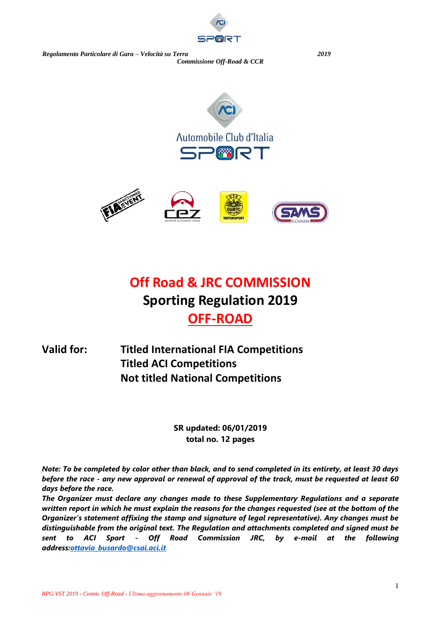

*Regolamento Particolare di Gara – Velocità su Terra 2019 Commissione Off-Road & CCR* 





# **Off Road & JRC COMMISSION Sporting Regulation 2019 OFF-ROAD**

# **Valid for: Titled International FIA Competitions Titled ACI Competitions Not titled National Competitions**

**SR updated: 06/01/2019 total no. 12 pages**

*Note: To be completed by color other than black, and to send completed in its entirety, at least 30 days before the race - any new approval or renewal of approval of the track, must be requested at least 60 days before the race.*

*The Organizer must declare any changes made to these Supplementary Regulations and a separate written report in which he must explain the reasons for the changes requested (see at the bottom of the Organizer's statement affixing the stamp and signature of legal representative). Any changes must be distinguishable from the original text. The Regulation and attachments completed and signed must be sent to ACI Sport - Off Road Commission JRC, by e-mail at the following address[:ottavio\\_busardo@csai.aci.it](mailto:ottavio_busardo@csai.aci.it)*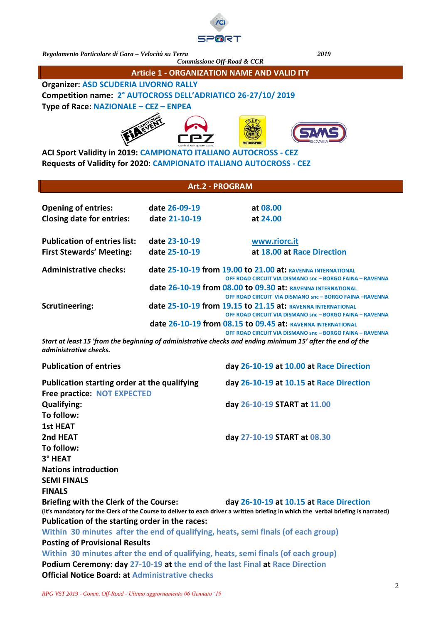

*Regolamento Particolare di Gara – Velocità su Terra 2019 Commissione Off-Road & CCR* 

**Article 1 - ORGANIZATION NAME AND VALID ITY**

**Organizer: ASD SCUDERIA LIVORNO RALLY Competition name: 2° AUTOCROSS DELL'ADRIATICO 26-27/10/ 2019 Type of Race: NAZIONALE – CEZ – ENPEA**







**OFF ROAD CIRCUIT VIA DISMANO snc – BORGO FAINA – RAVENNA**

**ACI Sport Validity in 2019: CAMPIONATO ITALIANO AUTOCROSS - CEZ Requests of Validity for 2020: CAMPIONATO ITALIANO AUTOCROSS - CEZ**

| <b>Art.2 - PROGRAM</b>              |                                                                                                                                                                                               |                                                                 |  |
|-------------------------------------|-----------------------------------------------------------------------------------------------------------------------------------------------------------------------------------------------|-----------------------------------------------------------------|--|
| <b>Opening of entries:</b>          | date 26-09-19                                                                                                                                                                                 | at 08.00                                                        |  |
| <b>Closing date for entries:</b>    | date 21-10-19                                                                                                                                                                                 | at 24.00                                                        |  |
| <b>Publication of entries list:</b> | date 23-10-19                                                                                                                                                                                 | www.riorc.it                                                    |  |
| <b>First Stewards' Meeting:</b>     | date 25-10-19                                                                                                                                                                                 | at 18.00 at Race Direction                                      |  |
| <b>Administrative checks:</b>       | <b>date 25-10-19 from 19.00 to 21.00 at: RAVENNA INTERNATIONAL</b><br>OFF ROAD CIRCUIT VIA DISMANO snc - BORGO FAINA - RAVENNA<br>date 26-10-19 from 08.00 to 09.30 at: RAVENNA INTERNATIONAL |                                                                 |  |
|                                     |                                                                                                                                                                                               |                                                                 |  |
|                                     |                                                                                                                                                                                               | OFF ROAD CIRCUIT VIA DISMANO snc - BORGO FAINA -RAVENNA         |  |
| <b>Scrutineering:</b>               | date 25-10-19 from 19.15 to 21.15 at: RAVENNA INTERNATIONAL                                                                                                                                   |                                                                 |  |
|                                     |                                                                                                                                                                                               | <b>OFF ROAD CIRCUIT VIA DISMANO snc - BORGO FAINA - RAVENNA</b> |  |
|                                     |                                                                                                                                                                                               | date 26-10-19 from 08.15 to 09.45 at: RAVENNA INTERNATIONAL     |  |

*Start at least 15 'from the beginning of administrative checks and ending minimum 15' after the end of the administrative checks.*

**Publication of entries day 26-10-19 at 10.00 at Race Direction Publication starting order at the qualifying day 26-10-19 at 10.15 at Race Direction Free practice: NOT EXPECTED Qualifying: day 26-10-19 START at 11.00 To follow: 1st HEAT 2nd HEAT day 27-10-19 START at 08.30 To follow: 3° HEAT Nations introduction SEMI FINALS FINALS Briefing with the Clerk of the Course: day 26-10-19 at 10.15 at Race Direction (It's mandatory for the Clerk of the Course to deliver to each driver a written briefing in which the verbal briefing is narrated) Publication of the starting order in the races: Within 30 minutes after the end of qualifying, heats, semi finals (of each group) Posting of Provisional Results Within 30 minutes after the end of qualifying, heats, semi finals (of each group) Podium Ceremony: day 27-10-19 at the end of the last Final at Race Direction Official Notice Board: at Administrative checks**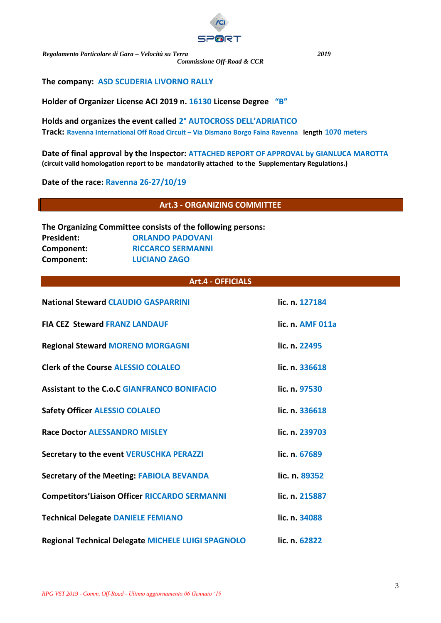

*Regolamento Particolare di Gara – Velocità su Terra 2019 Commissione Off-Road & CCR* 

#### **The company: ASD SCUDERIA LIVORNO RALLY**

**Holder of Organizer License ACI 2019 n. 16130 License Degree "B"** 

**Holds and organizes the event called 2° AUTOCROSS DELL'ADRIATICO Track: Ravenna International Off Road Circuit – Via Dismano Borgo Faina Ravenna length 1070 meters**

**Date of final approval by the Inspector: ATTACHED REPORT OF APPROVAL by GIANLUCA MAROTTA (circuit valid homologation report to be mandatorily attached to the Supplementary Regulations.)**

**Date of the race: Ravenna 26-27/10/19**

**Art.3 - ORGANIZING COMMITTEE**

| The Organizing Committee consists of the following persons: |                          |
|-------------------------------------------------------------|--------------------------|
| President:                                                  | <b>ORLANDO PADOVANI</b>  |
| Component:                                                  | <b>RICCARCO SERMANNI</b> |
| Component:                                                  | <b>LUCIANO ZAGO</b>      |

#### **Art.4 - OFFICIALS**

| <b>National Steward CLAUDIO GASPARRINI</b>                | lic. n. 127184   |
|-----------------------------------------------------------|------------------|
| <b>FIA CEZ Steward FRANZ LANDAUF</b>                      | lic. n. AMF 011a |
| <b>Regional Steward MORENO MORGAGNI</b>                   | lic. n. 22495    |
| <b>Clerk of the Course ALESSIO COLALEO</b>                | lic. n. 336618   |
| <b>Assistant to the C.o.C GIANFRANCO BONIFACIO</b>        | lic. n. 97530    |
| <b>Safety Officer ALESSIO COLALEO</b>                     | lic. n. 336618   |
| <b>Race Doctor ALESSANDRO MISLEY</b>                      | lic. n. 239703   |
| Secretary to the event VERUSCHKA PERAZZI                  | lic. n. 67689    |
| <b>Secretary of the Meeting: FABIOLA BEVANDA</b>          | lic. n. 89352    |
| <b>Competitors'Liaison Officer RICCARDO SERMANNI</b>      | lic. n. 215887   |
| <b>Technical Delegate DANIELE FEMIANO</b>                 | lic. n. 34088    |
| <b>Regional Technical Delegate MICHELE LUIGI SPAGNOLO</b> | lic. n. 62822    |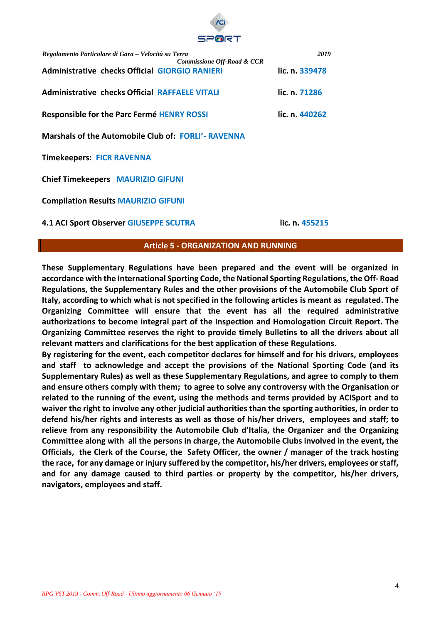

| Regolamento Particolare di Gara - Velocità su Terra                                            | 2019           |
|------------------------------------------------------------------------------------------------|----------------|
| <b>Commissione Off-Road &amp; CCR</b><br><b>Administrative checks Official GIORGIO RANIERI</b> | lic. n. 339478 |
| <b>Administrative checks Official RAFFAELE VITALI</b>                                          | lic. n. 71286  |
| <b>Responsible for the Parc Fermé HENRY ROSSI</b>                                              | lic. n. 440262 |
| Marshals of the Automobile Club of: FORLI'- RAVENNA                                            |                |
| <b>Timekeepers: FICR RAVENNA</b>                                                               |                |
| <b>Chief Timekeepers MAURIZIO GIFUNI</b>                                                       |                |
| <b>Compilation Results MAURIZIO GIFUNI</b>                                                     |                |
| <b>4.1 ACI Sport Observer GIUSEPPE SCUTRA</b>                                                  | lic. n. 455215 |
| <b>Article 5 - ORGANIZATION AND RUNNING</b>                                                    |                |

**These Supplementary Regulations have been prepared and the event will be organized in accordance with the International Sporting Code, the National Sporting Regulations, the Off- Road Regulations, the Supplementary Rules and the other provisions of the Automobile Club Sport of Italy, according to which what is not specified in the following articles is meant as regulated. The Organizing Committee will ensure that the event has all the required administrative authorizations to become integral part of the Inspection and Homologation Circuit Report. The Organizing Committee reserves the right to provide timely Bulletins to all the drivers about all relevant matters and clarifications for the best application of these Regulations.**

**By registering for the event, each competitor declares for himself and for his drivers, employees and staff to acknowledge and accept the provisions of the National Sporting Code (and its Supplementary Rules) as well as these Supplementary Regulations, and agree to comply to them and ensure others comply with them; to agree to solve any controversy with the Organisation or related to the running of the event, using the methods and terms provided by ACISport and to waiver the right to involve any other judicial authorities than the sporting authorities, in order to defend his/her rights and interests as well as those of his/her drivers, employees and staff; to relieve from any responsibility the Automobile Club d'Italia, the Organizer and the Organizing Committee along with all the persons in charge, the Automobile Clubs involved in the event, the Officials, the Clerk of the Course, the Safety Officer, the owner / manager of the track hosting the race, for any damage or injury suffered by the competitor, his/her drivers, employees or staff, and for any damage caused to third parties or property by the competitor, his/her drivers, navigators, employees and staff.**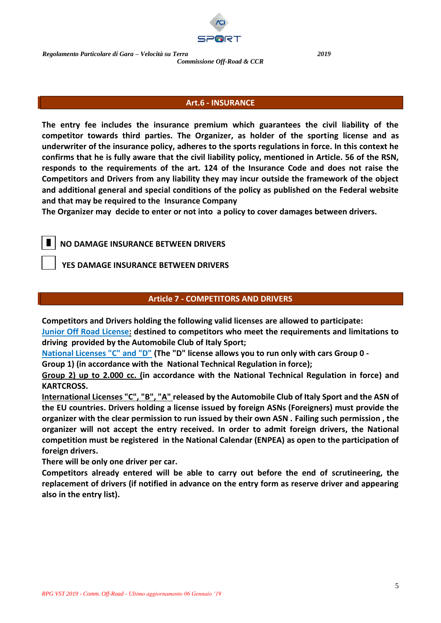

#### **Art.6 - INSURANCE**

**The entry fee includes the insurance premium which guarantees the civil liability of the competitor towards third parties. The Organizer, as holder of the sporting license and as underwriter of the insurance policy, adheres to the sports regulations in force. In this context he confirms that he is fully aware that the civil liability policy, mentioned in Article. 56 of the RSN, responds to the requirements of the art. 124 of the Insurance Code and does not raise the Competitors and Drivers from any liability they may incur outside the framework of the object and additional general and special conditions of the policy as published on the Federal website and that may be required to the Insurance Company**

**The Organizer may decide to enter or not into a policy to cover damages between drivers.** 

 **NO DAMAGE INSURANCE BETWEEN DRIVERS**

 **YES DAMAGE INSURANCE BETWEEN DRIVERS**

#### **Article 7 - COMPETITORS AND DRIVERS**

**Competitors and Drivers holding the following valid licenses are allowed to participate:**

**Junior Off Road License: destined to competitors who meet the requirements and limitations to driving provided by the Automobile Club of Italy Sport;**

**National Licenses "C" and "D" (The "D" license allows you to run only with cars Group 0 -**

**Group 1) (in accordance with the National Technical Regulation in force);**

**Group 2) up to 2.000 cc. (in accordance with the National Technical Regulation in force) and KARTCROSS.**

**International Licenses "C", "B", "A" released by the Automobile Club of Italy Sport and the ASN of the EU countries. Drivers holding a license issued by foreign ASNs (Foreigners) must provide the organizer with the clear permission to run issued by their own ASN . Failing such permission , the organizer will not accept the entry received. In order to admit foreign drivers, the National competition must be registered in the National Calendar (ENPEA) as open to the participation of foreign drivers.**

**There will be only one driver per car.** 

**Competitors already entered will be able to carry out before the end of scrutineering, the replacement of drivers (if notified in advance on the entry form as reserve driver and appearing also in the entry list).**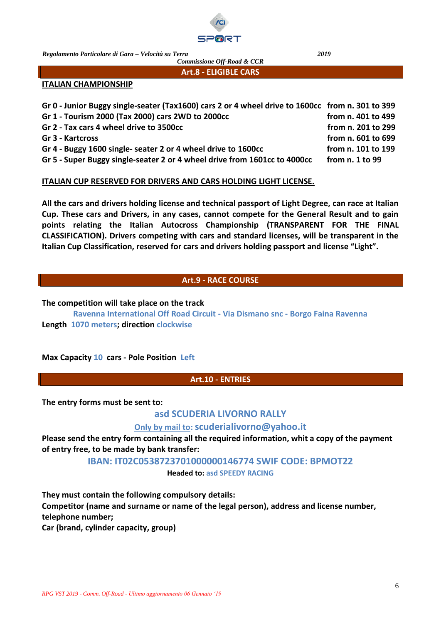

*Commissione Off-Road & CCR* 

⊃R⊤

**Art.8 - ELIGIBLE CARS**

#### **ITALIAN CHAMPIONSHIP**

| Gr 0 - Junior Buggy single-seater (Tax1600) cars 2 or 4 wheel drive to 1600cc from n. 301 to 399 |                    |
|--------------------------------------------------------------------------------------------------|--------------------|
| Gr 1 - Tourism 2000 (Tax 2000) cars 2WD to 2000cc                                                | from n. 401 to 499 |
| Gr 2 - Tax cars 4 wheel drive to 3500cc                                                          | from n. 201 to 299 |
| Gr 3 - Kartcross                                                                                 | from n. 601 to 699 |
| Gr 4 - Buggy 1600 single-seater 2 or 4 wheel drive to 1600cc                                     | from n. 101 to 199 |
| Gr 5 - Super Buggy single-seater 2 or 4 wheel drive from 1601cc to 4000cc                        | from n. 1 to 99    |

# **ITALIAN CUP RESERVED FOR DRIVERS AND CARS HOLDING LIGHT LICENSE.**

**All the cars and drivers holding license and technical passport of Light Degree, can race at Italian Cup. These cars and Drivers, in any cases, cannot compete for the General Result and to gain points relating the Italian Autocross Championship (TRANSPARENT FOR THE FINAL CLASSIFICATION). Drivers competing with cars and standard licenses, will be transparent in the Italian Cup Classification, reserved for cars and drivers holding passport and license "Light".**

## **Art.9 - RACE COURSE**

#### **The competition will take place on the track**

**Ravenna International Off Road Circuit - Via Dismano snc - Borgo Faina Ravenna Length 1070 meters; direction clockwise**

## **Max Capacity 10 cars - Pole Position Left**

## **Art.10 - ENTRIES**

**The entry forms must be sent to:** 

## **asd SCUDERIA LIVORNO RALLY**

## **Only by mail to: scuderialivorno@yahoo.it**

**Please send the entry form containing all the required information, whit a copy of the payment of entry free, to be made by bank transfer:**

**IBAN: IT02C0538723701000000146774 SWIF CODE: BPMOT22**

**Headed to: asd SPEEDY RACING**

**They must contain the following compulsory details: Competitor (name and surname or name of the legal person), address and license number, telephone number; Car (brand, cylinder capacity, group)**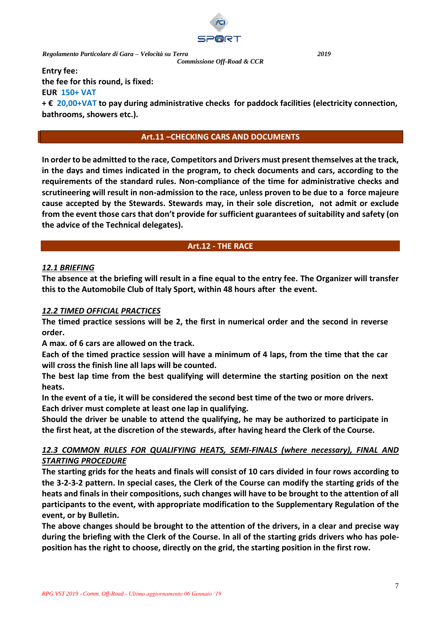

*Commissione Off-Road & CCR* 

# **Entry fee:**

**the fee for this round, is fixed:** 

**EUR 150+ VAT** 

**+ € 20,00+VAT to pay during administrative checks for paddock facilities (electricity connection, bathrooms, showers etc.).**

# **Art.11 –CHECKING CARS AND DOCUMENTS**

**In order to be admitted to the race, Competitors and Drivers must present themselves at the track, in the days and times indicated in the program, to check documents and cars, according to the requirements of the standard rules. Non-compliance of the time for administrative checks and scrutineering will result in non-admission to the race, unless proven to be due to a force majeure cause accepted by the Stewards. Stewards may, in their sole discretion, not admit or exclude from the event those cars that don't provide for sufficient guarantees of suitability and safety (on the advice of the Technical delegates).**

## **Art.12 - THE RACE**

## *12.1 BRIEFING*

**The absence at the briefing will result in a fine equal to the entry fee. The Organizer will transfer this to the Automobile Club of Italy Sport, within 48 hours after the event.**

# *12.2 TIMED OFFICIAL PRACTICES*

**The timed practice sessions will be 2, the first in numerical order and the second in reverse order.**

**A max. of 6 cars are allowed on the track.**

**Each of the timed practice session will have a minimum of 4 laps, from the time that the car will cross the finish line all laps will be counted.**

**The best lap time from the best qualifying will determine the starting position on the next heats.**

**In the event of a tie, it will be considered the second best time of the two or more drivers. Each driver must complete at least one lap in qualifying.**

**Should the driver be unable to attend the qualifying, he may be authorized to participate in the first heat, at the discretion of the stewards, after having heard the Clerk of the Course.**

# *12.3 COMMON RULES FOR QUALIFYING HEATS, SEMI-FINALS (where necessary), FINAL AND STARTING PROCEDURE*

**The starting grids for the heats and finals will consist of 10 cars divided in four rows according to the 3-2-3-2 pattern. In special cases, the Clerk of the Course can modify the starting grids of the heats and finals in their compositions, such changes will have to be brought to the attention of all participants to the event, with appropriate modification to the Supplementary Regulation of the event, or by Bulletin.**

**The above changes should be brought to the attention of the drivers, in a clear and precise way during the briefing with the Clerk of the Course. In all of the starting grids drivers who has poleposition has the right to choose, directly on the grid, the starting position in the first row.**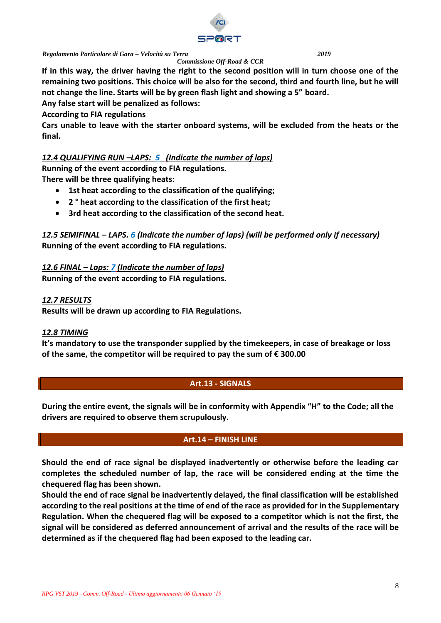

**If in this way, the driver having the right to the second position will in turn choose one of the remaining two positions. This choice will be also for the second, third and fourth line, but he will not change the line. Starts will be by green flash light and showing a 5" board.**

**Any false start will be penalized as follows:**

**According to FIA regulations**

**Cars unable to leave with the starter onboard systems, will be excluded from the heats or the final.**

# *12.4 QUALIFYING RUN –LAPS: 5 (Indicate the number of laps)*

**Running of the event according to FIA regulations.**

**There will be three qualifying heats:**

- **1st heat according to the classification of the qualifying;**
- **2 ° heat according to the classification of the first heat;**
- **3rd heat according to the classification of the second heat.**

*12.5 SEMIFINAL – LAPS. 6 (Indicate the number of laps) (will be performed only if necessary)* **Running of the event according to FIA regulations.**

*12.6 FINAL – Laps: 7 (Indicate the number of laps)* **Running of the event according to FIA regulations.**

## *12.7 RESULTS*

**Results will be drawn up according to FIA Regulations.**

## *12.8 TIMING*

**It's mandatory to use the transponder supplied by the timekeepers, in case of breakage or loss of the same, the competitor will be required to pay the sum of € 300.00**

## **Art.13 - SIGNALS**

**During the entire event, the signals will be in conformity with Appendix "H" to the Code; all the drivers are required to observe them scrupulously.**

## **Art.14 – FINISH LINE**

**Should the end of race signal be displayed inadvertently or otherwise before the leading car completes the scheduled number of lap, the race will be considered ending at the time the chequered flag has been shown.**

**Should the end of race signal be inadvertently delayed, the final classification will be established according to the real positions at the time of end of the race as provided for in the Supplementary Regulation. When the chequered flag will be exposed to a competitor which is not the first, the signal will be considered as deferred announcement of arrival and the results of the race will be determined as if the chequered flag had been exposed to the leading car.**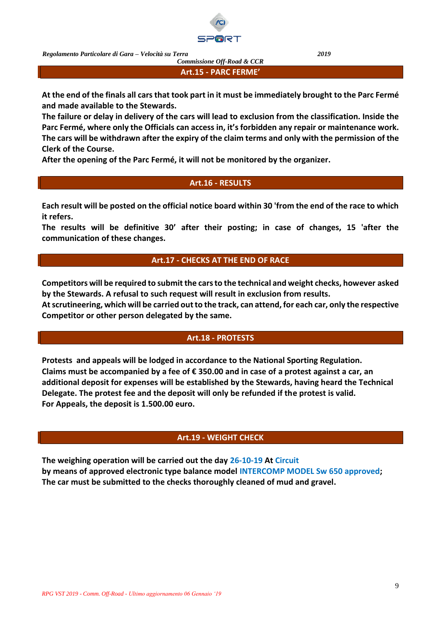

*Commissione Off-Road & CCR*  **Art.15 - PARC FERME'**

SPMRT

**At the end of the finals all cars that took part in it must be immediately brought to the Parc Fermé and made available to the Stewards.**

**The failure or delay in delivery of the cars will lead to exclusion from the classification. Inside the Parc Fermé, where only the Officials can access in, it's forbidden any repair or maintenance work. The cars will be withdrawn after the expiry of the claim terms and only with the permission of the Clerk of the Course.**

**After the opening of the Parc Fermé, it will not be monitored by the organizer.**

# **Art.16 - RESULTS**

**Each result will be posted on the official notice board within 30 'from the end of the race to which it refers.**

**The results will be definitive 30' after their posting; in case of changes, 15 'after the communication of these changes.**

# **Art.17 - CHECKS AT THE END OF RACE**

**Competitors will be required to submit the cars to the technical and weight checks, however asked by the Stewards. A refusal to such request will result in exclusion from results.**

**At scrutineering, which will be carried out to the track, can attend, for each car, only the respective Competitor or other person delegated by the same.**

# **Art.18 - PROTESTS**

**Protests and appeals will be lodged in accordance to the National Sporting Regulation. Claims must be accompanied by a fee of € 350.00 and in case of a protest against a car, an additional deposit for expenses will be established by the Stewards, having heard the Technical Delegate. The protest fee and the deposit will only be refunded if the protest is valid. For Appeals, the deposit is 1.500.00 euro.**

# **Art.19 - WEIGHT CHECK**

**The weighing operation will be carried out the day 26-10-19 At Circuit by means of approved electronic type balance model INTERCOMP MODEL Sw 650 approved; The car must be submitted to the checks thoroughly cleaned of mud and gravel.**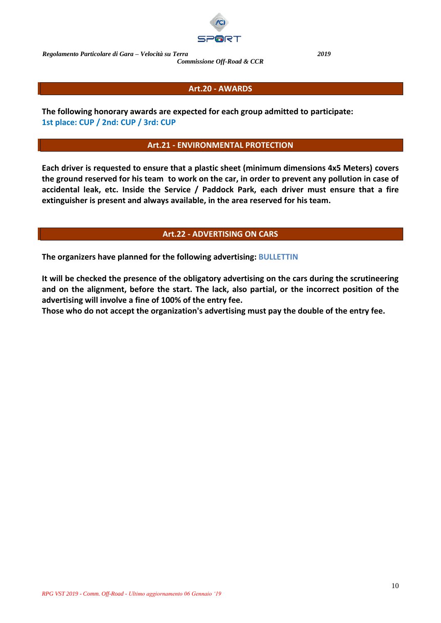

*Commissione Off-Road & CCR* 

## **Art.20 - AWARDS**

**The following honorary awards are expected for each group admitted to participate: 1st place: CUP / 2nd: CUP / 3rd: CUP**

#### **Art.21 - ENVIRONMENTAL PROTECTION**

**Each driver is requested to ensure that a plastic sheet (minimum dimensions 4x5 Meters) covers the ground reserved for his team to work on the car, in order to prevent any pollution in case of accidental leak, etc. Inside the Service / Paddock Park, each driver must ensure that a fire extinguisher is present and always available, in the area reserved for his team.**

# **Art.22 - ADVERTISING ON CARS**

**The organizers have planned for the following advertising: BULLETTIN**

**It will be checked the presence of the obligatory advertising on the cars during the scrutineering and on the alignment, before the start. The lack, also partial, or the incorrect position of the advertising will involve a fine of 100% of the entry fee.**

**Those who do not accept the organization's advertising must pay the double of the entry fee.**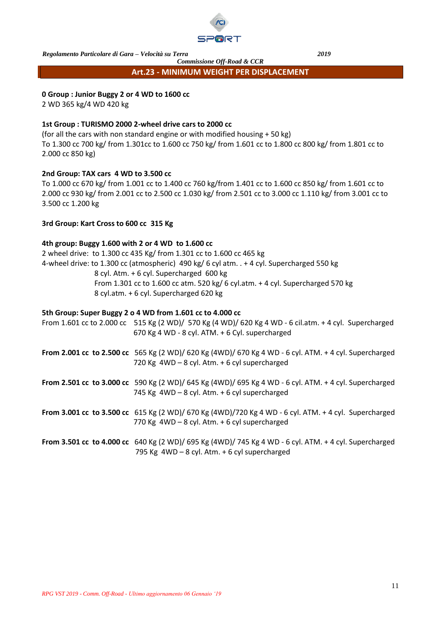*Regolamento Particolare di Gara – Velocità su Terra 2019*

*Commissione Off-Road & CCR*  **Art.23 - MINIMUM WEIGHT PER DISPLACEMENT**

#### **0 Group : Junior Buggy 2 or 4 WD to 1600 cc**

2 WD 365 kg/4 WD 420 kg

#### **1st Group : TURISMO 2000 2-wheel drive cars to 2000 cc**

(for all the cars with non standard engine or with modified housing + 50 kg) To 1.300 cc 700 kg/ from 1.301cc to 1.600 cc 750 kg/ from 1.601 cc to 1.800 cc 800 kg/ from 1.801 cc to 2.000 cc 850 kg)

#### **2nd Group: TAX cars 4 WD to 3.500 cc**

To 1.000 cc 670 kg/ from 1.001 cc to 1.400 cc 760 kg/from 1.401 cc to 1.600 cc 850 kg/ from 1.601 cc to 2.000 cc 930 kg/ from 2.001 cc to 2.500 cc 1.030 kg/ from 2.501 cc to 3.000 cc 1.110 kg/ from 3.001 cc to 3.500 cc 1.200 kg

## **3rd Group: Kart Cross to 600 cc 315 Kg**

#### **4th group: Buggy 1.600 with 2 or 4 WD to 1.600 cc**

2 wheel drive: to 1.300 cc 435 Kg/ from 1.301 cc to 1.600 cc 465 kg 4-wheel drive: to 1.300 cc (atmospheric) 490 kg/ 6 cyl atm. . + 4 cyl. Supercharged 550 kg 8 cyl. Atm. + 6 cyl. Supercharged 600 kg From 1.301 cc to 1.600 cc atm. 520 kg/ 6 cyl.atm. + 4 cyl. Supercharged 570 kg 8 cyl.atm. + 6 cyl. Supercharged 620 kg

#### **5th Group: Super Buggy 2 o 4 WD from 1.601 cc to 4.000 cc**

| From 1.601 cc to 2.000 cc 515 Kg (2 WD)/ 570 Kg (4 WD)/ 620 Kg 4 WD - 6 cil.atm. + 4 cyl. Supercharged<br>670 Kg 4 WD - 8 cyl. ATM. + 6 Cyl. supercharged         |
|-------------------------------------------------------------------------------------------------------------------------------------------------------------------|
| From 2.001 cc to 2.500 cc 565 Kg (2 WD)/ 620 Kg (4WD)/ 670 Kg 4 WD - 6 cyl. ATM. + 4 cyl. Supercharged<br>720 Kg 4WD - 8 cyl. Atm. + 6 cyl supercharged           |
| From 2.501 cc to 3.000 cc 590 Kg (2 WD)/ 645 Kg (4WD)/ 695 Kg 4 WD - 6 cyl. ATM. + 4 cyl. Supercharged<br>745 Kg 4WD - 8 cyl. Atm. + 6 cyl supercharged           |
| From 3.001 cc to 3.500 cc $615$ Kg (2 WD)/670 Kg (4WD)/720 Kg 4 WD - 6 cyl. ATM. + 4 cyl. Supercharged<br>770 Kg 4WD - 8 cyl. Atm. + 6 cyl supercharged           |
| From 3.501 cc to 4.000 cc $640 \text{ kg}$ (2 WD)/ 695 Kg (4WD)/ 745 Kg 4 WD - 6 cyl. ATM. + 4 cyl. Supercharged<br>795 Kg 4WD - 8 cyl. Atm. + 6 cyl supercharged |